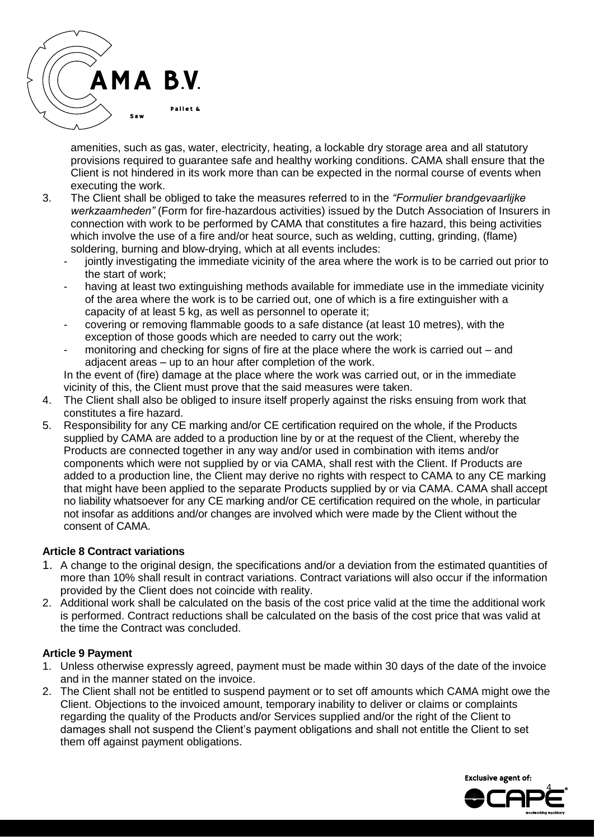amenities, such as gas, water, electricity, heating, a lockable dry storage area and all statutory provisions required to guarantee safe and healthy working conditions. CAMA shall ensure that the Client is not hindered in its work more than can be expected in the normal course of events when executing the work.

- 3. The Client shall be obliged to take the measures referred to in the *"Formulier brandgevaarlijke werkzaamheden"* (Form for fire-hazardous activities) issued by the Dutch Association of Insurers in connection with work to be performed by CAMA that constitutes a fire hazard, this being activities which involve the use of a fire and/or heat source, such as welding, cutting, grinding, (flame) soldering, burning and blow-drying, which at all events includes:
	- jointly investigating the immediate vicinity of the area where the work is to be carried out prior to the start of work;
	- having at least two extinguishing methods available for immediate use in the immediate vicinity of the area where the work is to be carried out, one of which is a fire extinguisher with a capacity of at least 5 kg, as well as personnel to operate it;
	- covering or removing flammable goods to a safe distance (at least 10 metres), with the exception of those goods which are needed to carry out the work;
	- monitoring and checking for signs of fire at the place where the work is carried out  $-$  and adjacent areas – up to an hour after completion of the work.

In the event of (fire) damage at the place where the work was carried out, or in the immediate vicinity of this, the Client must prove that the said measures were taken.

- 4. The Client shall also be obliged to insure itself properly against the risks ensuing from work that constitutes a fire hazard.
- 5. Responsibility for any CE marking and/or CE certification required on the whole, if the Products supplied by CAMA are added to a production line by or at the request of the Client, whereby the Products are connected together in any way and/or used in combination with items and/or components which were not supplied by or via CAMA, shall rest with the Client. If Products are added to a production line, the Client may derive no rights with respect to CAMA to any CE marking that might have been applied to the separate Products supplied by or via CAMA. CAMA shall accept no liability whatsoever for any CE marking and/or CE certification required on the whole, in particular not insofar as additions and/or changes are involved which were made by the Client without the consent of CAMA.

# **Article 8 Contract variations**

- 1. A change to the original design, the specifications and/or a deviation from the estimated quantities of more than 10% shall result in contract variations. Contract variations will also occur if the information provided by the Client does not coincide with reality.
- 2. Additional work shall be calculated on the basis of the cost price valid at the time the additional work is performed. Contract reductions shall be calculated on the basis of the cost price that was valid at the time the Contract was concluded.

## **Article 9 Payment**

- 1. Unless otherwise expressly agreed, payment must be made within 30 days of the date of the invoice and in the manner stated on the invoice.
- 2. The Client shall not be entitled to suspend payment or to set off amounts which CAMA might owe the Client. Objections to the invoiced amount, temporary inability to deliver or claims or complaints regarding the quality of the Products and/or Services supplied and/or the right of the Client to damages shall not suspend the Client's payment obligations and shall not entitle the Client to set them off against payment obligations.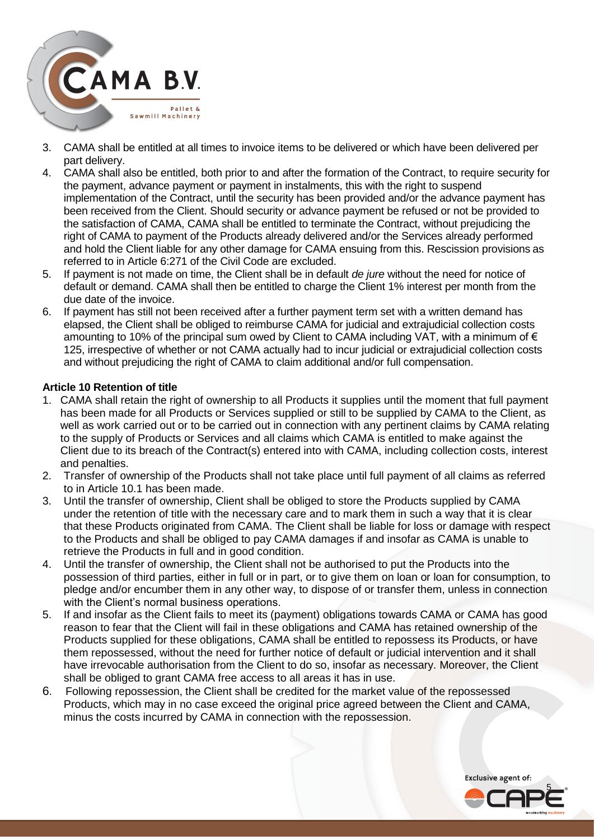

- 3. CAMA shall be entitled at all times to invoice items to be delivered or which have been delivered per part delivery.
- 4. CAMA shall also be entitled, both prior to and after the formation of the Contract, to require security for the payment, advance payment or payment in instalments, this with the right to suspend implementation of the Contract, until the security has been provided and/or the advance payment has been received from the Client. Should security or advance payment be refused or not be provided to the satisfaction of CAMA, CAMA shall be entitled to terminate the Contract, without prejudicing the right of CAMA to payment of the Products already delivered and/or the Services already performed and hold the Client liable for any other damage for CAMA ensuing from this. Rescission provisions as referred to in Article 6:271 of the Civil Code are excluded.
- 5. If payment is not made on time, the Client shall be in default *de jure* without the need for notice of default or demand. CAMA shall then be entitled to charge the Client 1% interest per month from the due date of the invoice.
- 6. If payment has still not been received after a further payment term set with a written demand has elapsed, the Client shall be obliged to reimburse CAMA for judicial and extrajudicial collection costs amounting to 10% of the principal sum owed by Client to CAMA including VAT, with a minimum of  $\epsilon$ 125, irrespective of whether or not CAMA actually had to incur judicial or extrajudicial collection costs and without prejudicing the right of CAMA to claim additional and/or full compensation.

## **Article 10 Retention of title**

- 1. CAMA shall retain the right of ownership to all Products it supplies until the moment that full payment has been made for all Products or Services supplied or still to be supplied by CAMA to the Client, as well as work carried out or to be carried out in connection with any pertinent claims by CAMA relating to the supply of Products or Services and all claims which CAMA is entitled to make against the Client due to its breach of the Contract(s) entered into with CAMA, including collection costs, interest and penalties.
- 2. Transfer of ownership of the Products shall not take place until full payment of all claims as referred to in Article 10.1 has been made.
- 3. Until the transfer of ownership, Client shall be obliged to store the Products supplied by CAMA under the retention of title with the necessary care and to mark them in such a way that it is clear that these Products originated from CAMA. The Client shall be liable for loss or damage with respect to the Products and shall be obliged to pay CAMA damages if and insofar as CAMA is unable to retrieve the Products in full and in good condition.
- 4. Until the transfer of ownership, the Client shall not be authorised to put the Products into the possession of third parties, either in full or in part, or to give them on loan or loan for consumption, to pledge and/or encumber them in any other way, to dispose of or transfer them, unless in connection with the Client's normal business operations.
- 5. If and insofar as the Client fails to meet its (payment) obligations towards CAMA or CAMA has good reason to fear that the Client will fail in these obligations and CAMA has retained ownership of the Products supplied for these obligations, CAMA shall be entitled to repossess its Products, or have them repossessed, without the need for further notice of default or judicial intervention and it shall have irrevocable authorisation from the Client to do so, insofar as necessary. Moreover, the Client shall be obliged to grant CAMA free access to all areas it has in use.
- 6. Following repossession, the Client shall be credited for the market value of the repossessed Products, which may in no case exceed the original price agreed between the Client and CAMA, minus the costs incurred by CAMA in connection with the repossession.

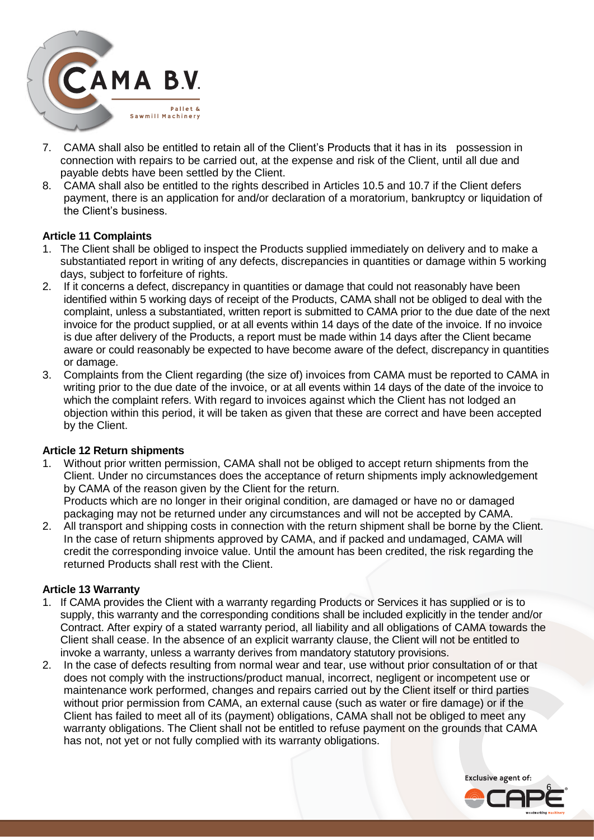

- 7. CAMA shall also be entitled to retain all of the Client's Products that it has in its possession in connection with repairs to be carried out, at the expense and risk of the Client, until all due and payable debts have been settled by the Client.
- 8. CAMA shall also be entitled to the rights described in Articles 10.5 and 10.7 if the Client defers payment, there is an application for and/or declaration of a moratorium, bankruptcy or liquidation of the Client's business.

#### **Article 11 Complaints**

- 1. The Client shall be obliged to inspect the Products supplied immediately on delivery and to make a substantiated report in writing of any defects, discrepancies in quantities or damage within 5 working days, subject to forfeiture of rights.
- 2. If it concerns a defect, discrepancy in quantities or damage that could not reasonably have been identified within 5 working days of receipt of the Products, CAMA shall not be obliged to deal with the complaint, unless a substantiated, written report is submitted to CAMA prior to the due date of the next invoice for the product supplied, or at all events within 14 days of the date of the invoice. If no invoice is due after delivery of the Products, a report must be made within 14 days after the Client became aware or could reasonably be expected to have become aware of the defect, discrepancy in quantities or damage.
- 3. Complaints from the Client regarding (the size of) invoices from CAMA must be reported to CAMA in writing prior to the due date of the invoice, or at all events within 14 days of the date of the invoice to which the complaint refers. With regard to invoices against which the Client has not lodged an objection within this period, it will be taken as given that these are correct and have been accepted by the Client.

#### **Article 12 Return shipments**

1. Without prior written permission, CAMA shall not be obliged to accept return shipments from the Client. Under no circumstances does the acceptance of return shipments imply acknowledgement by CAMA of the reason given by the Client for the return. Products which are no longer in their original condition, are damaged or have no or damaged

packaging may not be returned under any circumstances and will not be accepted by CAMA.

2. All transport and shipping costs in connection with the return shipment shall be borne by the Client. In the case of return shipments approved by CAMA, and if packed and undamaged, CAMA will credit the corresponding invoice value. Until the amount has been credited, the risk regarding the returned Products shall rest with the Client.

#### **Article 13 Warranty**

- 1. If CAMA provides the Client with a warranty regarding Products or Services it has supplied or is to supply, this warranty and the corresponding conditions shall be included explicitly in the tender and/or Contract. After expiry of a stated warranty period, all liability and all obligations of CAMA towards the Client shall cease. In the absence of an explicit warranty clause, the Client will not be entitled to invoke a warranty, unless a warranty derives from mandatory statutory provisions.
- 2. In the case of defects resulting from normal wear and tear, use without prior consultation of or that does not comply with the instructions/product manual, incorrect, negligent or incompetent use or maintenance work performed, changes and repairs carried out by the Client itself or third parties without prior permission from CAMA, an external cause (such as water or fire damage) or if the Client has failed to meet all of its (payment) obligations, CAMA shall not be obliged to meet any warranty obligations. The Client shall not be entitled to refuse payment on the grounds that CAMA has not, not yet or not fully complied with its warranty obligations.

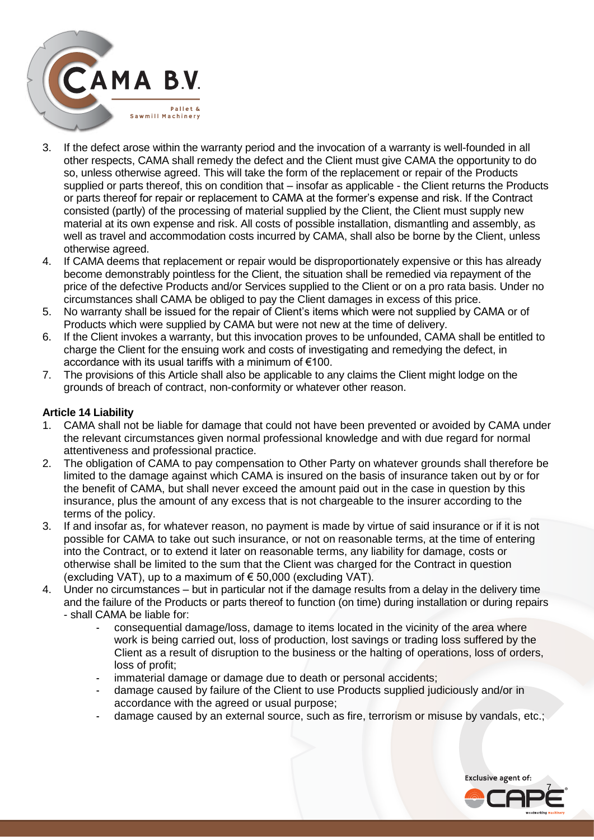

- 3. If the defect arose within the warranty period and the invocation of a warranty is well-founded in all other respects, CAMA shall remedy the defect and the Client must give CAMA the opportunity to do so, unless otherwise agreed. This will take the form of the replacement or repair of the Products supplied or parts thereof, this on condition that – insofar as applicable - the Client returns the Products or parts thereof for repair or replacement to CAMA at the former's expense and risk. If the Contract consisted (partly) of the processing of material supplied by the Client, the Client must supply new material at its own expense and risk. All costs of possible installation, dismantling and assembly, as well as travel and accommodation costs incurred by CAMA, shall also be borne by the Client, unless otherwise agreed.
- 4. If CAMA deems that replacement or repair would be disproportionately expensive or this has already become demonstrably pointless for the Client, the situation shall be remedied via repayment of the price of the defective Products and/or Services supplied to the Client or on a pro rata basis. Under no circumstances shall CAMA be obliged to pay the Client damages in excess of this price.
- 5. No warranty shall be issued for the repair of Client's items which were not supplied by CAMA or of Products which were supplied by CAMA but were not new at the time of delivery.
- 6. If the Client invokes a warranty, but this invocation proves to be unfounded, CAMA shall be entitled to charge the Client for the ensuing work and costs of investigating and remedying the defect, in accordance with its usual tariffs with a minimum of €100.
- 7. The provisions of this Article shall also be applicable to any claims the Client might lodge on the grounds of breach of contract, non-conformity or whatever other reason.

## **Article 14 Liability**

- 1. CAMA shall not be liable for damage that could not have been prevented or avoided by CAMA under the relevant circumstances given normal professional knowledge and with due regard for normal attentiveness and professional practice.
- 2. The obligation of CAMA to pay compensation to Other Party on whatever grounds shall therefore be limited to the damage against which CAMA is insured on the basis of insurance taken out by or for the benefit of CAMA, but shall never exceed the amount paid out in the case in question by this insurance, plus the amount of any excess that is not chargeable to the insurer according to the terms of the policy.
- 3. If and insofar as, for whatever reason, no payment is made by virtue of said insurance or if it is not possible for CAMA to take out such insurance, or not on reasonable terms, at the time of entering into the Contract, or to extend it later on reasonable terms, any liability for damage, costs or otherwise shall be limited to the sum that the Client was charged for the Contract in question (excluding VAT), up to a maximum of  $\epsilon$  50,000 (excluding VAT).
- 4. Under no circumstances but in particular not if the damage results from a delay in the delivery time and the failure of the Products or parts thereof to function (on time) during installation or during repairs - shall CAMA be liable for:
	- consequential damage/loss, damage to items located in the vicinity of the area where work is being carried out, loss of production, lost savings or trading loss suffered by the Client as a result of disruption to the business or the halting of operations, loss of orders, loss of profit;
	- immaterial damage or damage due to death or personal accidents;
	- damage caused by failure of the Client to use Products supplied judiciously and/or in accordance with the agreed or usual purpose;
	- damage caused by an external source, such as fire, terrorism or misuse by vandals, etc.;

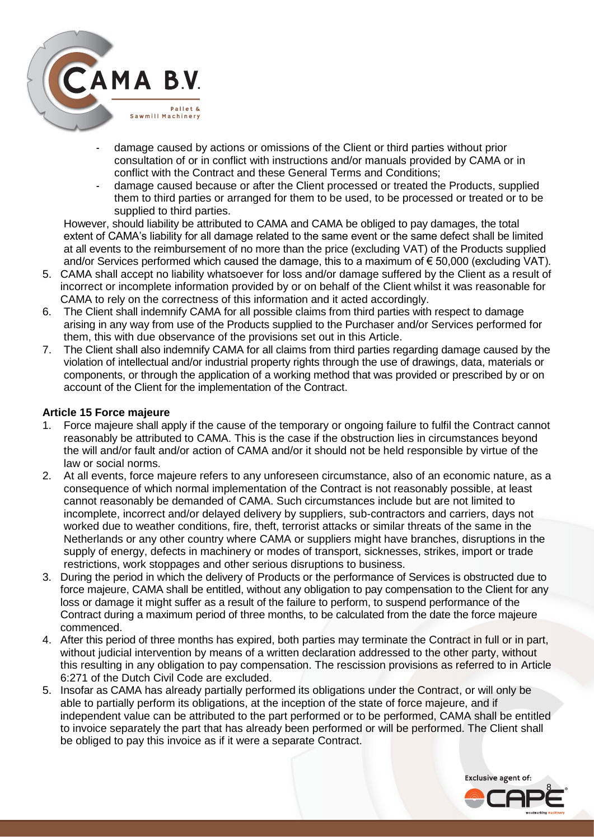

- damage caused by actions or omissions of the Client or third parties without prior consultation of or in conflict with instructions and/or manuals provided by CAMA or in conflict with the Contract and these General Terms and Conditions;
- damage caused because or after the Client processed or treated the Products, supplied them to third parties or arranged for them to be used, to be processed or treated or to be supplied to third parties.

However, should liability be attributed to CAMA and CAMA be obliged to pay damages, the total extent of CAMA's liability for all damage related to the same event or the same defect shall be limited at all events to the reimbursement of no more than the price (excluding VAT) of the Products supplied and/or Services performed which caused the damage, this to a maximum of € 50,000 (excluding VAT).

- 5. CAMA shall accept no liability whatsoever for loss and/or damage suffered by the Client as a result of incorrect or incomplete information provided by or on behalf of the Client whilst it was reasonable for CAMA to rely on the correctness of this information and it acted accordingly.
- 6. The Client shall indemnify CAMA for all possible claims from third parties with respect to damage arising in any way from use of the Products supplied to the Purchaser and/or Services performed for them, this with due observance of the provisions set out in this Article.
- 7. The Client shall also indemnify CAMA for all claims from third parties regarding damage caused by the violation of intellectual and/or industrial property rights through the use of drawings, data, materials or components, or through the application of a working method that was provided or prescribed by or on account of the Client for the implementation of the Contract.

## **Article 15 Force majeure**

- 1. Force majeure shall apply if the cause of the temporary or ongoing failure to fulfil the Contract cannot reasonably be attributed to CAMA. This is the case if the obstruction lies in circumstances beyond the will and/or fault and/or action of CAMA and/or it should not be held responsible by virtue of the law or social norms.
- 2. At all events, force majeure refers to any unforeseen circumstance, also of an economic nature, as a consequence of which normal implementation of the Contract is not reasonably possible, at least cannot reasonably be demanded of CAMA. Such circumstances include but are not limited to incomplete, incorrect and/or delayed delivery by suppliers, sub-contractors and carriers, days not worked due to weather conditions, fire, theft, terrorist attacks or similar threats of the same in the Netherlands or any other country where CAMA or suppliers might have branches, disruptions in the supply of energy, defects in machinery or modes of transport, sicknesses, strikes, import or trade restrictions, work stoppages and other serious disruptions to business.
- 3. During the period in which the delivery of Products or the performance of Services is obstructed due to force majeure, CAMA shall be entitled, without any obligation to pay compensation to the Client for any loss or damage it might suffer as a result of the failure to perform, to suspend performance of the Contract during a maximum period of three months, to be calculated from the date the force majeure commenced.
- 4. After this period of three months has expired, both parties may terminate the Contract in full or in part, without judicial intervention by means of a written declaration addressed to the other party, without this resulting in any obligation to pay compensation. The rescission provisions as referred to in Article 6:271 of the Dutch Civil Code are excluded.
- 5. Insofar as CAMA has already partially performed its obligations under the Contract, or will only be able to partially perform its obligations, at the inception of the state of force majeure, and if independent value can be attributed to the part performed or to be performed, CAMA shall be entitled to invoice separately the part that has already been performed or will be performed. The Client shall be obliged to pay this invoice as if it were a separate Contract.